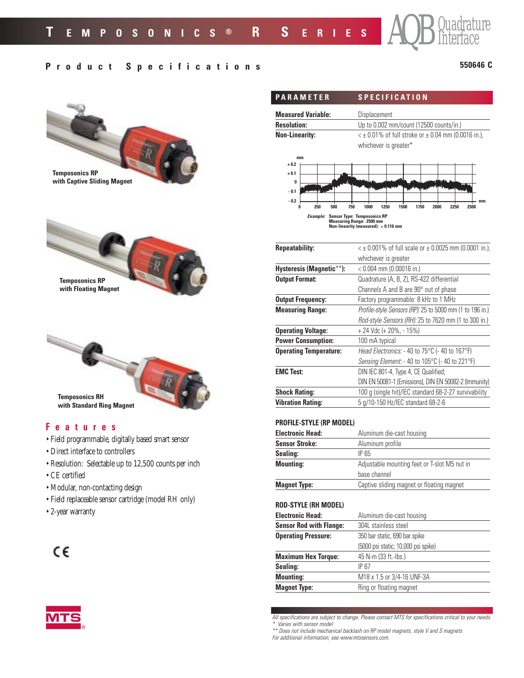# **Product Specifications**

## **550646 C**

AQB Quadrature



- 
- CE certified
- Modular, non-contacting design
- Field replaceable sensor cartridge (model RH only)
- 2-year warranty

# $C\epsilon$



| <b>PARAMETER</b>          | <b>SPECIFICATION</b>                                                                  |  |  |
|---------------------------|---------------------------------------------------------------------------------------|--|--|
| <b>Measured Variable:</b> | Displacement                                                                          |  |  |
| <b>Resolution:</b>        | Up to 0.002 mm/count (12500 counts/in.)                                               |  |  |
| <b>Non-Linearity:</b>     | $\leq$ ± 0.01% of full stroke or $\pm$ 0.04 mm (0.0016 in.),<br>whichever is greater* |  |  |
| mm<br>$+0.2$              |                                                                                       |  |  |
| $+0.1$<br>$\bf{0}$        |                                                                                       |  |  |
| $-0.1$<br>$-0.2$          | mm                                                                                    |  |  |
| 250<br>500<br>0           | 1250<br>1500<br>750<br>1000<br>1750<br>2000<br>2250<br>2500                           |  |  |

*Example:* **Sensor Type: Temposonics RP Measuring Range: 2500 mm Non-linearity (measured):** ± **0.116 mm**

| <b>Repeatability:</b>         | $\leq$ ± 0.001% of full scale or ± 0.0025 mm (0.0001 in.), |
|-------------------------------|------------------------------------------------------------|
|                               | whichever is greater                                       |
| Hysteresis (Magnetic**):      | $< 0.004$ mm (0.00016 in.)                                 |
| <b>Output Format:</b>         | Quadrature (A, B, Z), RS-422 differential                  |
|                               | Channels A and B are 90° out of phase                      |
| <b>Output Frequency:</b>      | Factory programmable: 8 kHz to 1 MHz                       |
| <b>Measuring Range:</b>       | Profile-style Sensors (RP): 25 to 5000 mm (1 to 196 in.)   |
|                               | Rod-style Sensors (RH): 25 to 7620 mm (1 to 300 in.)       |
| <b>Operating Voltage:</b>     | $+ 24$ Vdc (+ 20%, - 15%)                                  |
| <b>Power Consumption:</b>     | 100 mA typical                                             |
| <b>Operating Temperature:</b> | Head Electronics: - 40 to 75°C (- 40 to 167°F)             |
|                               | Sensing Element: - 40 to 105°C (- 40 to 221°F)             |
| <b>EMC Test:</b>              | DIN IEC 801-4, Type 4, CE Qualified;                       |
|                               | DIN EN 50081-1 (Emissions), DIN EN 50082-2 (Immunity)      |
| <b>Shock Rating:</b>          | 100 g (single hit)/IEC standard 68-2-27 survivability      |
| <b>Vibration Rating:</b>      | 5 g/10-150 Hz/IEC standard 68-2-6                          |

#### **PROFILE-STYLE (RP MODEL)**

| <b>Electronic Head:</b> | Aluminum die-cast housing                    |  |  |
|-------------------------|----------------------------------------------|--|--|
| <b>Sensor Stroke:</b>   | Aluminum profile                             |  |  |
| Sealing:                | IP 65                                        |  |  |
| <b>Mounting:</b>        | Adjustable mounting feet or T-slot M5 nut in |  |  |
|                         | base channel                                 |  |  |
| <b>Magnet Type:</b>     | Captive sliding magnet or floating magnet    |  |  |

## **ROD-STYLE (RH MODEL)**

| <b>Electronic Head:</b>        | Aluminum die-cast housing           |  |  |
|--------------------------------|-------------------------------------|--|--|
| <b>Sensor Rod with Flange:</b> | 304L stainless steel                |  |  |
| <b>Operating Pressure:</b>     | 350 bar static, 690 bar spike       |  |  |
|                                | (5000 psi static; 10,000 psi spike) |  |  |
| <b>Maximum Hex Torque:</b>     | 45 N-m (33 ft.-lbs.)                |  |  |
| Sealing:                       | <b>IP 67</b>                        |  |  |
| <b>Mounting:</b>               | M18 x 1.5 or 3/4-16 UNF-3A          |  |  |
| <b>Magnet Type:</b>            | Ring or floating magnet             |  |  |

*All specifications are subject to change. Please contact MTS for specifications critical to your needs. \* Varies with sensor model*

*For additional information, see www.mtssensors.com.*

*<sup>\*\*</sup> Does not include mechanical backlash on RP model magnets, style V and S magnets*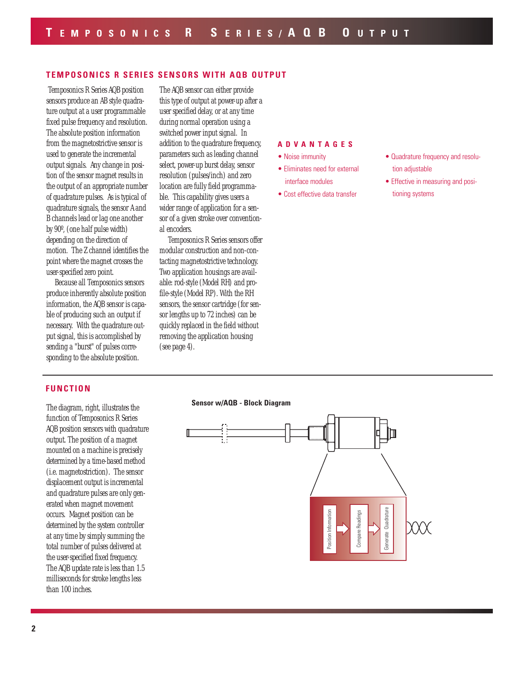## **TEMPOSONICS R SERIES SENSORS WITH AQB OUTPUT**

Temposonics R Series AQB position sensors produce an AB style quadrature output at a user programmable fixed pulse frequency and resolution. The absolute position information from the magnetostrictive sensor is used to generate the incremental output signals. Any change in position of the sensor magnet results in the output of an appropriate number of quadrature pulses. As is typical of quadrature signals, the sensor A and B channels lead or lag one another by 90º, (one half pulse width) depending on the direction of motion. The Z channel identifies the point where the magnet crosses the user-specified zero point.

Because all Temposonics sensors produce inherently absolute position information, the AQB sensor is capable of producing such an output if necessary. With the quadrature output signal, this is accomplished by sending a "burst" of pulses corresponding to the absolute position.

The AQB sensor can either provide this type of output at power-up after a user specified delay, or at any time during normal operation using a switched power input signal. In addition to the quadrature frequency, parameters such as leading channel select, power-up burst delay, sensor resolution (pulses/inch) and zero location are fully field programmable. This capability gives users a wider range of application for a sensor of a given stroke over conventional encoders.

Temposonics R Series sensors offer modular construction and non-contacting magnetostrictive technology. Two application housings are available: rod-style (Model RH) and profile-style (Model RP). With the RH sensors, the sensor cartridge (for sensor lengths up to 72 inches) can be quickly replaced in the field without removing the application housing (see page 4).

#### **ADVANTAGES**

- Noise immunity
- Eliminates need for external interface modules
- Cost effective data transfer
- Quadrature frequency and resolution adjustable
- Effective in measuring and positioning systems

#### **FUNCTION**

The diagram, right, illustrates the function of Temposonics R Series AQB position sensors with quadrature output. The position of a magnet mounted on a machine is precisely determined by a time-based method (i.e. magnetostriction). The sensor displacement output is incremental and quadrature pulses are only generated when magnet movement occurs. Magnet position can be determined by the system controller at any time by simply summing the total number of pulses delivered at the user-specified fixed frequency. The AQB update rate is less than 1.5 milliseconds for stroke lengths less than 100 inches.

#### **Sensor w/AQB - Block Diagram**

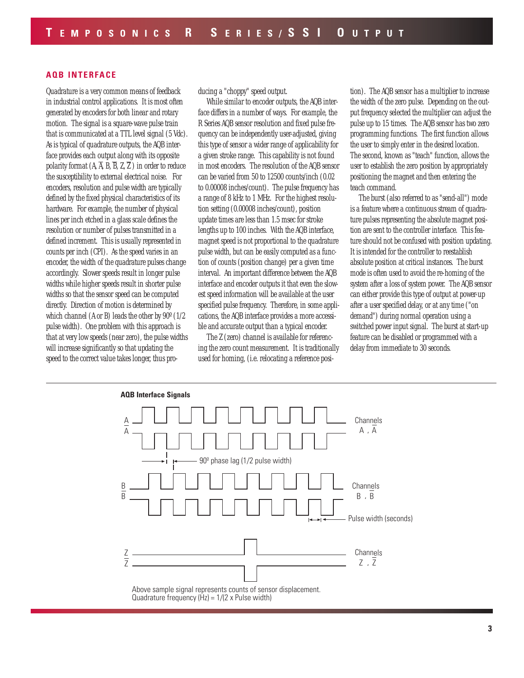## **AQB INTERFACE**

Quadrature is a very common means of feedback in industrial control applications. It is most often generated by encoders for both linear and rotary motion. The signal is a square-wave pulse train that is communicated at a TTL level signal (5 Vdc). As is typical of quadrature outputs, the AQB interface provides each output along with its opposite polarity format  $(A, \overline{A}, B, \overline{B}, Z, \overline{Z})$  in order to reduce the susceptibility to external electrical noise. For encoders, resolution and pulse width are typically defined by the fixed physical characteristics of its hardware. For example, the number of physical lines per inch etched in a glass scale defines the resolution or number of pulses transmitted in a defined increment. This is usually represented in counts per inch (CPI). As the speed varies in an encoder, the width of the quadrature pulses change accordingly. Slower speeds result in longer pulse widths while higher speeds result in shorter pulse widths so that the sensor speed can be computed directly. Direction of motion is determined by which channel (A or B) leads the other by 90º (1/2 pulse width). One problem with this approach is that at very low speeds (near zero), the pulse widths will increase significantly so that updating the speed to the correct value takes longer, thus producing a "choppy" speed output.

While similar to encoder outputs, the AQB interface differs in a number of ways. For example, the R Series AQB sensor resolution and fixed pulse frequency can be independently user-adjusted, giving this type of sensor a wider range of applicability for a given stroke range. This capability is not found in most encoders. The resolution of the AQB sensor can be varied from 50 to 12500 counts/inch (0.02 to 0.00008 inches/count). The pulse frequency has a range of 8 kHz to 1 MHz. For the highest resolution setting (0.00008 inches/count), position update times are less than 1.5 msec for stroke lengths up to 100 inches. With the AQB interface, magnet speed is not proportional to the quadrature pulse width, but can be easily computed as a function of counts (position change) per a given time interval. An important difference between the AQB interface and encoder outputs it that even the slowest speed information will be available at the user specified pulse frequency. Therefore, in some applications, the AQB interface provides a more accessible and accurate output than a typical encoder.

The Z (zero) channel is available for referencing the zero count measurement. It is traditionally used for homing, (i.e. relocating a reference position). The AQB sensor has a multiplier to increase the width of the zero pulse. Depending on the output frequency selected the multiplier can adjust the pulse up to 15 times. The AQB sensor has two zero programming functions. The first function allows the user to simply enter in the desired location. The second, known as "teach" function, allows the user to establish the zero position by appropriately positioning the magnet and then entering the teach command.

The burst (also referred to as "send-all") mode is a feature where a continuous stream of quadrature pulses representing the absolute magnet position are sent to the controller interface. This feature should not be confused with position updating. It is intended for the controller to reestablish absolute position at critical instances. The burst mode is often used to avoid the re-homing of the system after a loss of system power. The AQB sensor can either provide this type of output at power-up after a user specified delay, or at any time ("on demand") during normal operation using a switched power input signal. The burst at start-up feature can be disabled or programmed with a delay from immediate to 30 seconds.



Above sample signal represents counts of sensor displacement. Quadrature frequency  $(Hz) = 1/(2 x$  Pulse width)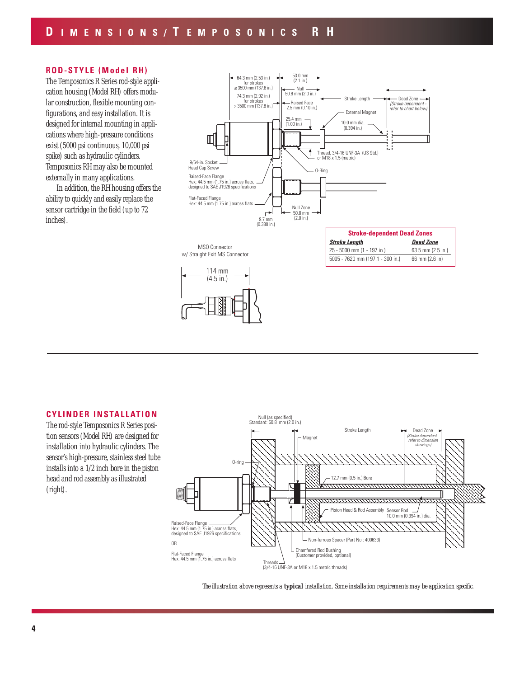## **ROD-STYLE (Model RH)**

The Temposonics R Series rod-style application housing (Model RH) offers modular construction, flexible mounting configurations, and easy installation. It is designed for internal mounting in applications where high-pressure conditions exist (5000 psi continuous, 10,000 psi spike) such as hydraulic cylinders. Temposonics RH may also be mounted externally in many applications.

In addition, the RH housing offers the ability to quickly and easily replace the sensor cartridge in the field (up to 72 inches).



## **CYLINDER INSTALLATION**

The rod-style Temposonics R Series position sensors (Model RH) are designed for installation into hydraulic cylinders. The sensor's high-pressure, stainless steel tube installs into a 1/2 inch bore in the piston head and rod assembly as illustrated (right).



*The illustration above represents a typical installation. Some installation requirements may be application specific.*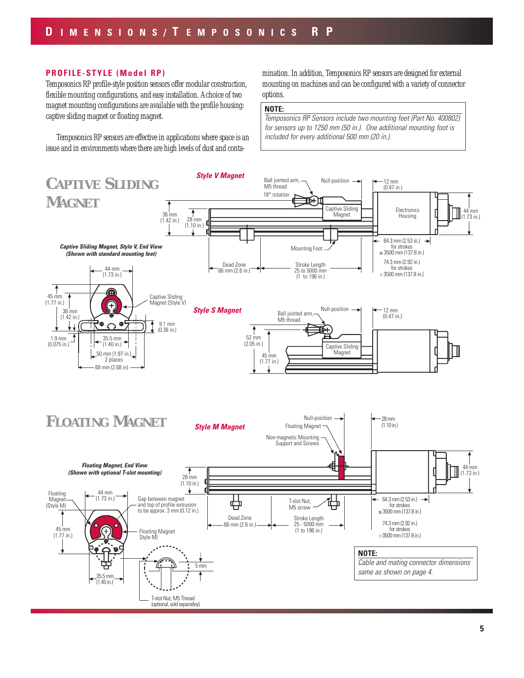### **PROFILE-STYLE (Model RP)**

Temposonics RP profile-style position sensors offer modular construction, flexible mounting configurations, and easy installation. A choice of two magnet mounting configurations are available with the profile housing: captive sliding magnet or floating magnet.

Temposonics RP sensors are effective in applications where space is an issue and in environments where there are high levels of dust and contamination. In addition, Temposonics RP sensors are designed for external mounting on machines and can be configured with a variety of connector options.

#### **NOTE:**

*Temposonics RP Sensors include two mounting feet (Part No. 400802) for sensors up to 1250 mm (50 in.). One additional mounting foot is included for every additional 500 mm (20 in.).*

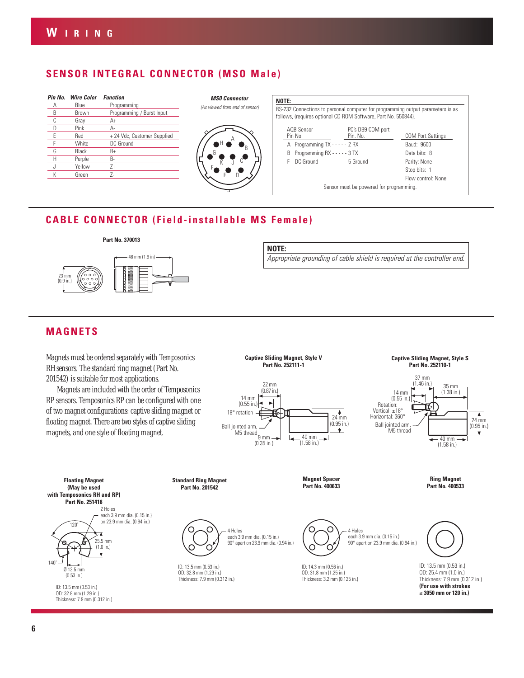# **SENSOR INTEGRAL CONNECTOR (MSO Male)**

| Pin No. | <b>Wire Color</b> | <b>Function</b>             |
|---------|-------------------|-----------------------------|
| А       | Blue              | Programming                 |
| B       | Brown             | Programming / Burst Input   |
| C       | Gray              | A+                          |
|         | Pink              | Д-                          |
| F       | Red               | + 24 Vdc, Customer Supplied |
|         | White             | DC Ground                   |
| G       | Black             | $B+$                        |
| Н       | Purple            | B-                          |
|         | Yellow            | $7+$                        |
| К       | Green             | 7-                          |
|         |                   |                             |



| NOTE:                                                                                                                                             |                               |                          |  |
|---------------------------------------------------------------------------------------------------------------------------------------------------|-------------------------------|--------------------------|--|
| RS-232 Connections to personal computer for programming output parameters is as<br>follows, (requires optional CD ROM Software, Part No. 550844). |                               |                          |  |
| AOB Sensor<br>Pin No.                                                                                                                             | PC's DB9 COM port<br>Pin. No. | <b>COM Port Settings</b> |  |
| A Programming TX - - - - - 2 RX                                                                                                                   |                               | Baud: 9600               |  |
| Programming RX - - - - - 3 TX<br>B                                                                                                                |                               | Data bits: 8             |  |
| $DC$ Ground - - - - - - - - 5 Ground<br>F                                                                                                         |                               | Parity: None             |  |
|                                                                                                                                                   |                               | Stop bits: 1             |  |
|                                                                                                                                                   |                               | Flow control: None       |  |
| Sensor must be powered for programming.                                                                                                           |                               |                          |  |

# **CABLE CONNECTOR (Field-installable MS Female)**

#### **Part No. 370013**



#### **NOTE:**

*Appropriate grounding of cable shield is required at the controller end.*

# **MAGNETS**

Magnets must be ordered separately with Temposonics RH sensors. The standard ring magnet (Part No. 201542) is suitable for most applications.

Magnets are included with the order of Temposonics RP sensors. Temposonics RP can be configured with one of two magnet configurations: captive sliding magnet or floating magnet. There are two styles of captive sliding magnets, and one style of floating magnet.



╘



 $\leftarrow$  40 mm (1.58 in.)

**Ring Magnet Part No. 400533**

**(May be used with Temposonics RH and RP) Part No. 251416** 2 Holes each 3.9 mm dia. (0.15 in.) on 23.9 mm dia. (0.94 in.) 120˚ 25.5 mm  $(1.0 in.)$ v 140˚

**Floating Magnet**

(0.53 in.) ID: 13.5 mm (0.53 in.) OD: 32.8 mm (1.29 in.) Thickness: 7.9 mm (0.312 in.)

Ø 13.5 mm

**Standard Ring Magnet Part No. 201542**

**Magnet Spacer Part No. 400633**

40 mm (1.58 in.) (0.95 in.)

 $\star$ 



each 3.9 mm dia. (0.15 in.) 90° apart on 23.9 mm dia. (0.94 in.)

9 mm (0.35 in.)

Ball jointed arm, M5 thread

ID: 13.5 mm (0.53 in.) OD: 32.8 mm (1.29 in.) Thickness: 7.9 mm (0.312 in.)

4 Holes each 3.9 mm dia. (0.15 in.) 90° apart on 23.9 mm dia. (0.94 in.)

ID: 14.3 mm (0.56 in.) OD: 31.8 mm (1.25 in.) Thickness: 3.2 mm (0.125 in.)



ID: 13.5 mm (0.53 in.) OD: 25.4 mm (1.0 in.) Thickness: 7.9 mm (0.312 in.) **(For use with strokes** ≤ **3050 mm or 120 in.)**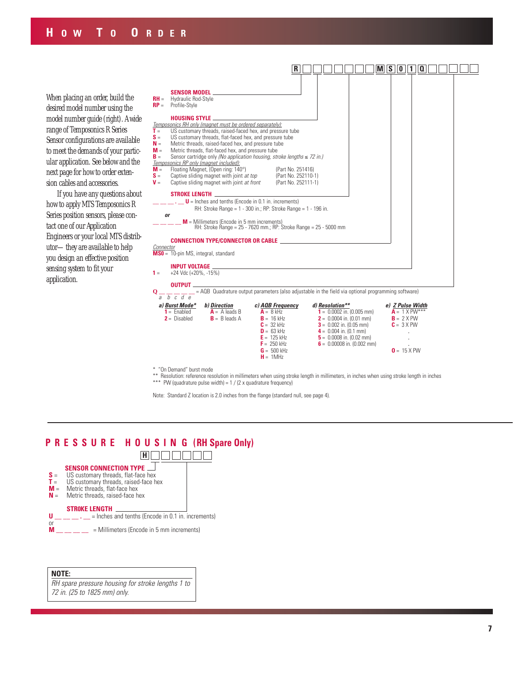When placing an order, build the desired model number using the model number guide (right). A wide range of Temposonics R Series Sensor configurations are available to meet the demands of your particular application. See below and the next page for how to order extension cables and accessories.

If you have any questions about how to apply MTS Temposonics R Series position sensors, please contact one of our Application Engineers or your local MTS distributor—they are available to help you design an effective position sensing system to fit your application.



\* "On Demand" burst mode

Resolution: reference resolution in millimeters when using stroke length in millimeters, in inches when using stroke length in inches \*\*\* PW (quadrature pulse width) = 1 / (2 x quadrature frequency)

Note: Standard Z location is 2.0 inches from the flange (standard null, see page 4).

# **P R E S S U R E H O U S I N G (RH Spare Only)**



#### **NOTE:**

*RH spare pressure housing for stroke lengths 1 to 72 in. (25 to 1825 mm) only.*